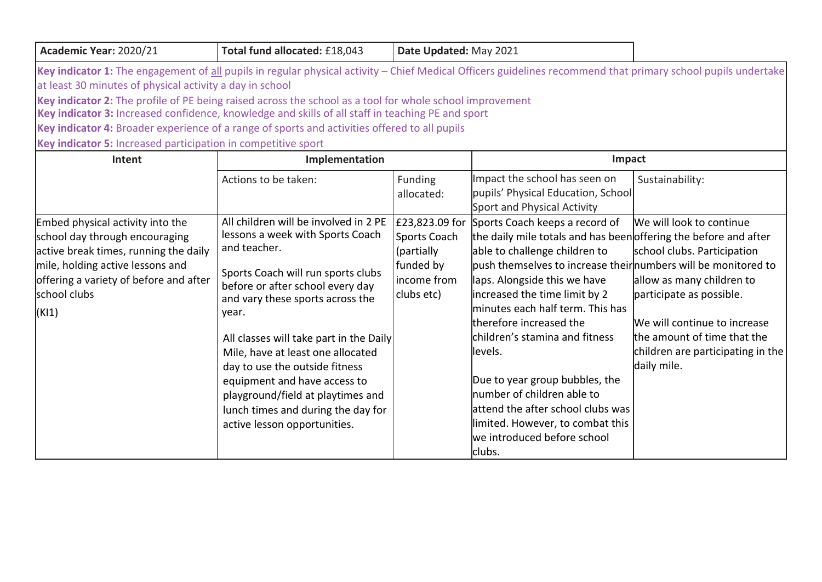| 2021<br><b>d</b> allocated: £18,043<br>Date<br><b>Updated:</b> May |  |  |  |  |  | Total fund |  | 2020/21<br>Academic<br>: Year: |
|--------------------------------------------------------------------|--|--|--|--|--|------------|--|--------------------------------|
|--------------------------------------------------------------------|--|--|--|--|--|------------|--|--------------------------------|

Key indicator 1: The engagement of all pupils in regular physical activity – Chief Medical Officers guidelines recommend that primary school pupils undertake at least 30 minutes of physical activity a day in school

**Key indicator 2:** The profile of PE being raised across the school as a tool for whole school improvement

**Key indicator 3:** Increased confidence, knowledge and skills of all staff in teaching PE and sport

**Key indicator 4:** Broader experience of a range of sports and activities offered to all pupils

**Key indicator 5:** Increased participation in competitive sport

| Intent                                                                                                                                                                                                             | Implementation                                                                                                                                                                                                                                                                                                                                                                                                                                                                |                                                                                        | Impact                                                                                                                                                                                                                                                                                                                                                                                                                                                                                                                                                                |                                                                                                                                                                                                                                     |  |
|--------------------------------------------------------------------------------------------------------------------------------------------------------------------------------------------------------------------|-------------------------------------------------------------------------------------------------------------------------------------------------------------------------------------------------------------------------------------------------------------------------------------------------------------------------------------------------------------------------------------------------------------------------------------------------------------------------------|----------------------------------------------------------------------------------------|-----------------------------------------------------------------------------------------------------------------------------------------------------------------------------------------------------------------------------------------------------------------------------------------------------------------------------------------------------------------------------------------------------------------------------------------------------------------------------------------------------------------------------------------------------------------------|-------------------------------------------------------------------------------------------------------------------------------------------------------------------------------------------------------------------------------------|--|
|                                                                                                                                                                                                                    | Actions to be taken:                                                                                                                                                                                                                                                                                                                                                                                                                                                          | Funding<br>allocated:                                                                  | Impact the school has seen on<br>pupils' Physical Education, School<br>Sport and Physical Activity                                                                                                                                                                                                                                                                                                                                                                                                                                                                    | Sustainability:                                                                                                                                                                                                                     |  |
| Embed physical activity into the<br>school day through encouraging<br>active break times, running the daily<br>mile, holding active lessons and<br>offering a variety of before and after<br>school clubs<br>(K11) | All children will be involved in 2 PE<br>lessons a week with Sports Coach<br>and teacher.<br>Sports Coach will run sports clubs<br>before or after school every day<br>and vary these sports across the<br>year.<br>All classes will take part in the Daily<br>Mile, have at least one allocated<br>day to use the outside fitness<br>equipment and have access to<br>playground/field at playtimes and<br>lunch times and during the day for<br>active lesson opportunities. | £23,823.09 for<br>Sports Coach<br>(partially<br>funded by<br>income from<br>clubs etc) | Sports Coach keeps a record of<br>the daily mile totals and has been offering the before and after<br>able to challenge children to<br>push themselves to increase their numbers will be monitored to<br>laps. Alongside this we have<br>increased the time limit by 2<br>minutes each half term. This has<br>therefore increased the<br>children's stamina and fitness<br>llevels.<br>Due to year group bubbles, the<br>number of children able to<br>attend the after school clubs was<br>limited. However, to combat this<br>we introduced before school<br>clubs. | We will look to continue<br>school clubs. Participation<br>allow as many children to<br>participate as possible.<br>We will continue to increase<br>the amount of time that the<br>children are participating in the<br>daily mile. |  |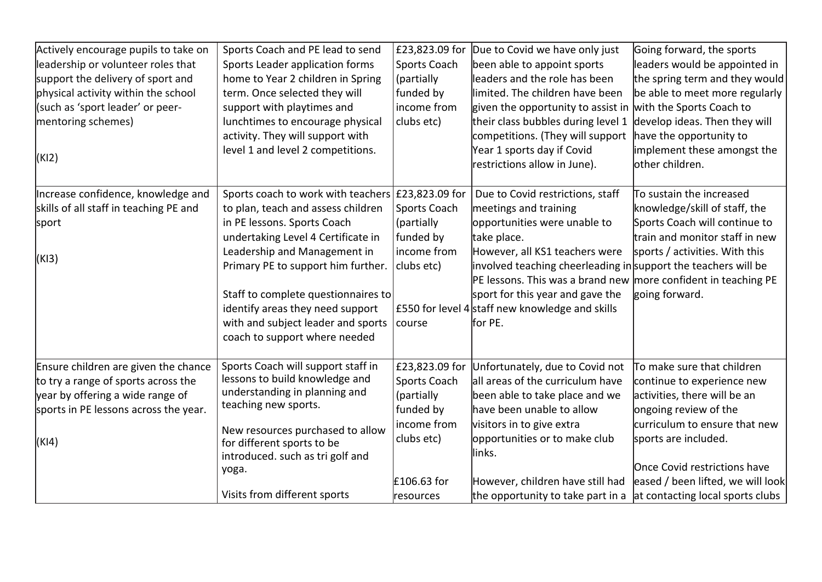| Sports Coach and PE lead to send<br>£23,823.09 for<br>Due to Covid we have only just<br>Actively encourage pupils to take on<br>Going forward, the sports<br>leadership or volunteer roles that<br>Sports Leader application forms<br>Sports Coach<br>been able to appoint sports<br>leaders would be appointed in<br>leaders and the role has been<br>support the delivery of sport and<br>home to Year 2 children in Spring<br>(partially<br>the spring term and they would<br>physical activity within the school<br>funded by<br>limited. The children have been<br>be able to meet more regularly<br>term. Once selected they will<br>(such as 'sport leader' or peer-<br>income from<br>given the opportunity to assist in with the Sports Coach to<br>support with playtimes and<br>their class bubbles during level 1<br>develop ideas. Then they will<br>mentoring schemes)<br>lunchtimes to encourage physical<br>clubs etc)<br>activity. They will support with<br>competitions. (They will support<br>have the opportunity to<br>level 1 and level 2 competitions.<br>Year 1 sports day if Covid<br>implement these amongst the<br>(KI2)<br>other children.<br>restrictions allow in June).<br>Increase confidence, knowledge and<br>Sports coach to work with teachers £23,823.09 for<br>Due to Covid restrictions, staff<br>To sustain the increased |  |
|--------------------------------------------------------------------------------------------------------------------------------------------------------------------------------------------------------------------------------------------------------------------------------------------------------------------------------------------------------------------------------------------------------------------------------------------------------------------------------------------------------------------------------------------------------------------------------------------------------------------------------------------------------------------------------------------------------------------------------------------------------------------------------------------------------------------------------------------------------------------------------------------------------------------------------------------------------------------------------------------------------------------------------------------------------------------------------------------------------------------------------------------------------------------------------------------------------------------------------------------------------------------------------------------------------------------------------------------------------------------|--|
|                                                                                                                                                                                                                                                                                                                                                                                                                                                                                                                                                                                                                                                                                                                                                                                                                                                                                                                                                                                                                                                                                                                                                                                                                                                                                                                                                                    |  |
| skills of all staff in teaching PE and<br>Sports Coach<br>meetings and training<br>to plan, teach and assess children<br>knowledge/skill of staff, the                                                                                                                                                                                                                                                                                                                                                                                                                                                                                                                                                                                                                                                                                                                                                                                                                                                                                                                                                                                                                                                                                                                                                                                                             |  |
| in PE lessons. Sports Coach<br>opportunities were unable to<br>Sports Coach will continue to<br>(partially<br>sport<br>funded by<br>train and monitor staff in new<br>undertaking Level 4 Certificate in<br>take place.                                                                                                                                                                                                                                                                                                                                                                                                                                                                                                                                                                                                                                                                                                                                                                                                                                                                                                                                                                                                                                                                                                                                            |  |
| Leadership and Management in<br>income from<br>However, all KS1 teachers were<br>sports / activities. With this<br>(K13)<br>Primary PE to support him further.<br>involved teaching cheerleading in support the teachers will be<br>clubs etc)<br>PE lessons. This was a brand new more confident in teaching PE<br>sport for this year and gave the<br>Staff to complete questionnaires to<br>going forward.<br>identify areas they need support<br>£550 for level 4 staff new knowledge and skills<br>with and subject leader and sports<br>for PE.<br>course                                                                                                                                                                                                                                                                                                                                                                                                                                                                                                                                                                                                                                                                                                                                                                                                    |  |
| coach to support where needed                                                                                                                                                                                                                                                                                                                                                                                                                                                                                                                                                                                                                                                                                                                                                                                                                                                                                                                                                                                                                                                                                                                                                                                                                                                                                                                                      |  |
| Sports Coach will support staff in<br>£23,823.09 for<br>To make sure that children<br>Ensure children are given the chance<br>Unfortunately, due to Covid not<br>lessons to build knowledge and<br>to try a range of sports across the<br>Sports Coach<br>all areas of the curriculum have<br>continue to experience new<br>understanding in planning and<br>year by offering a wide range of<br>activities, there will be an<br>(partially<br>been able to take place and we<br>teaching new sports.<br>sports in PE lessons across the year.<br>funded by<br>have been unable to allow<br>ongoing review of the<br>income from<br>visitors in to give extra<br>curriculum to ensure that new<br>New resources purchased to allow                                                                                                                                                                                                                                                                                                                                                                                                                                                                                                                                                                                                                                 |  |
| opportunities or to make club<br>clubs etc)<br>sports are included.<br>(KI4)<br>for different sports to be<br>llinks.<br>introduced. such as tri golf and<br>Once Covid restrictions have<br>yoga.                                                                                                                                                                                                                                                                                                                                                                                                                                                                                                                                                                                                                                                                                                                                                                                                                                                                                                                                                                                                                                                                                                                                                                 |  |
| eased / been lifted, we will look<br>£106.63 for<br>However, children have still had<br>Visits from different sports<br>the opportunity to take part in a $\vert$ at contacting local sports clubs<br>resources                                                                                                                                                                                                                                                                                                                                                                                                                                                                                                                                                                                                                                                                                                                                                                                                                                                                                                                                                                                                                                                                                                                                                    |  |